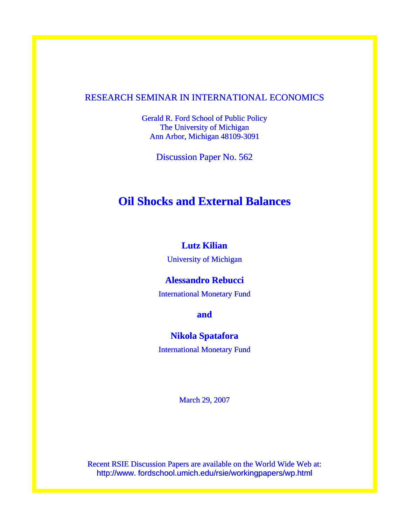### RESEARCH SEMINAR IN INTERNATIONAL ECONOMICS

Gerald R. Ford School of Public Policy The University of Michigan Ann Arbor, Michigan 48109-3091

Discussion Paper No. 562

# **Oil Shocks and External Balances**

# **Lutz Kilian**

University of Michigan

### **Alessandro Rebucci**

International Monetary Fund

**and** 

### **Nikola Spatafora**

International Monetary Fund

March 29, 2007

Recent RSIE Discussion Papers are available on the World Wide Web at: http://www. fordschool.umich.edu/rsie/workingpapers/wp.html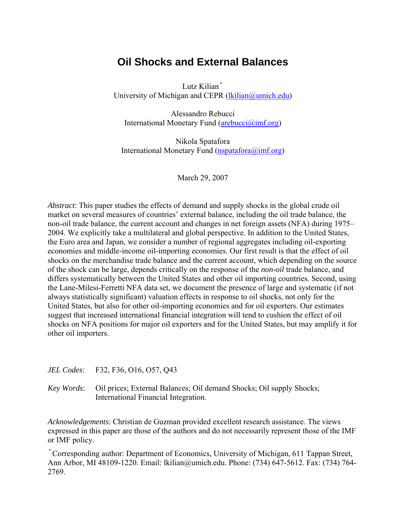# **Oil Shocks and External Balances**

Lutz Kilian\* University of Michigan and CEPR (lkilian@umich.edu)

Alessandro Rebucci International Monetary Fund (arebucci@imf.org)

Nikola Spatafora International Monetary Fund  $(nspatafora(a)imf.org)$ 

March 29, 2007

*Abstract*: This paper studies the effects of demand and supply shocks in the global crude oil market on several measures of countries' external balance, including the oil trade balance, the non-oil trade balance, the current account and changes in net foreign assets (NFA) during 1975– 2004. We explicitly take a multilateral and global perspective. In addition to the United States, the Euro area and Japan, we consider a number of regional aggregates including oil-exporting economies and middle-income oil-importing economies. Our first result is that the effect of oil shocks on the merchandise trade balance and the current account, which depending on the source of the shock can be large, depends critically on the response of the *non-oil* trade balance, and differs systematically between the United States and other oil importing countries. Second, using the Lane-Milesi-Ferretti NFA data set, we document the presence of large and systematic (if not always statistically significant) valuation effects in response to oil shocks, not only for the United States, but also for other oil-importing economies and for oil exporters. Our estimates suggest that increased international financial integration will tend to cushion the effect of oil shocks on NFA positions for major oil exporters and for the United States, but may amplify it for other oil importers.

#### *JEL Codes*: F32, F36, O16, O57, Q43

*Key Words*: Oil prices; External Balances; Oil demand Shocks; Oil supply Shocks; International Financial Integration.

*Acknowledgements*: Christian de Guzman provided excellent research assistance. The views expressed in this paper are those of the authors and do not necessarily represent those of the IMF or IMF policy.

\*Corresponding author: Department of Economics, University of Michigan, 611 Tappan Street, Ann Arbor, MI 48109-1220. Email: lkilian@umich.edu. Phone: (734) 647-5612. Fax: (734) 764- 2769.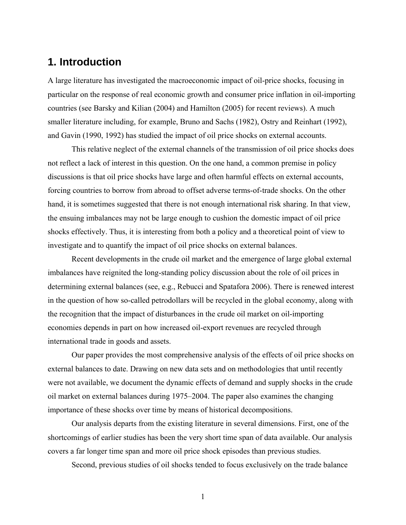### **1. Introduction**

A large literature has investigated the macroeconomic impact of oil-price shocks, focusing in particular on the response of real economic growth and consumer price inflation in oil-importing countries (see Barsky and Kilian (2004) and Hamilton (2005) for recent reviews). A much smaller literature including, for example, Bruno and Sachs (1982), Ostry and Reinhart (1992), and Gavin (1990, 1992) has studied the impact of oil price shocks on external accounts.

This relative neglect of the external channels of the transmission of oil price shocks does not reflect a lack of interest in this question. On the one hand, a common premise in policy discussions is that oil price shocks have large and often harmful effects on external accounts, forcing countries to borrow from abroad to offset adverse terms-of-trade shocks. On the other hand, it is sometimes suggested that there is not enough international risk sharing. In that view, the ensuing imbalances may not be large enough to cushion the domestic impact of oil price shocks effectively. Thus, it is interesting from both a policy and a theoretical point of view to investigate and to quantify the impact of oil price shocks on external balances.

Recent developments in the crude oil market and the emergence of large global external imbalances have reignited the long-standing policy discussion about the role of oil prices in determining external balances (see, e.g., Rebucci and Spatafora 2006). There is renewed interest in the question of how so-called petrodollars will be recycled in the global economy, along with the recognition that the impact of disturbances in the crude oil market on oil-importing economies depends in part on how increased oil-export revenues are recycled through international trade in goods and assets.

Our paper provides the most comprehensive analysis of the effects of oil price shocks on external balances to date. Drawing on new data sets and on methodologies that until recently were not available, we document the dynamic effects of demand and supply shocks in the crude oil market on external balances during 1975–2004. The paper also examines the changing importance of these shocks over time by means of historical decompositions.

Our analysis departs from the existing literature in several dimensions. First, one of the shortcomings of earlier studies has been the very short time span of data available. Our analysis covers a far longer time span and more oil price shock episodes than previous studies.

Second, previous studies of oil shocks tended to focus exclusively on the trade balance

1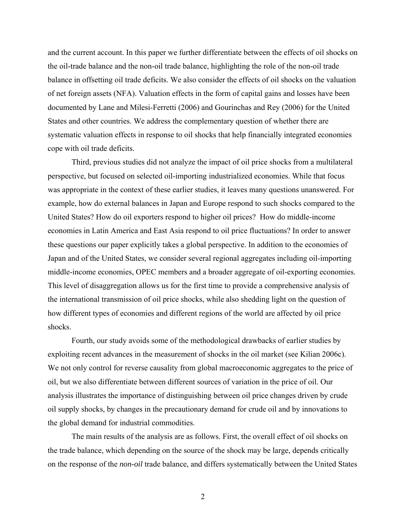and the current account. In this paper we further differentiate between the effects of oil shocks on the oil-trade balance and the non-oil trade balance, highlighting the role of the non-oil trade balance in offsetting oil trade deficits. We also consider the effects of oil shocks on the valuation of net foreign assets (NFA). Valuation effects in the form of capital gains and losses have been documented by Lane and Milesi-Ferretti (2006) and Gourinchas and Rey (2006) for the United States and other countries. We address the complementary question of whether there are systematic valuation effects in response to oil shocks that help financially integrated economies cope with oil trade deficits.

Third, previous studies did not analyze the impact of oil price shocks from a multilateral perspective, but focused on selected oil-importing industrialized economies. While that focus was appropriate in the context of these earlier studies, it leaves many questions unanswered. For example, how do external balances in Japan and Europe respond to such shocks compared to the United States? How do oil exporters respond to higher oil prices? How do middle-income economies in Latin America and East Asia respond to oil price fluctuations? In order to answer these questions our paper explicitly takes a global perspective. In addition to the economies of Japan and of the United States, we consider several regional aggregates including oil-importing middle-income economies, OPEC members and a broader aggregate of oil-exporting economies. This level of disaggregation allows us for the first time to provide a comprehensive analysis of the international transmission of oil price shocks, while also shedding light on the question of how different types of economies and different regions of the world are affected by oil price shocks.

Fourth, our study avoids some of the methodological drawbacks of earlier studies by exploiting recent advances in the measurement of shocks in the oil market (see Kilian 2006c). We not only control for reverse causality from global macroeconomic aggregates to the price of oil, but we also differentiate between different sources of variation in the price of oil. Our analysis illustrates the importance of distinguishing between oil price changes driven by crude oil supply shocks, by changes in the precautionary demand for crude oil and by innovations to the global demand for industrial commodities.

The main results of the analysis are as follows. First, the overall effect of oil shocks on the trade balance, which depending on the source of the shock may be large, depends critically on the response of the *non-oil* trade balance, and differs systematically between the United States

2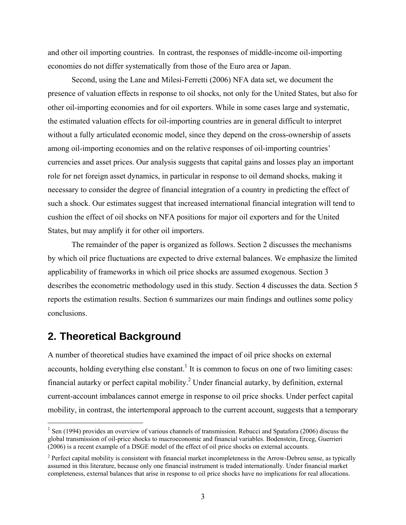and other oil importing countries. In contrast, the responses of middle-income oil-importing economies do not differ systematically from those of the Euro area or Japan.

Second, using the Lane and Milesi-Ferretti (2006) NFA data set, we document the presence of valuation effects in response to oil shocks, not only for the United States, but also for other oil-importing economies and for oil exporters. While in some cases large and systematic, the estimated valuation effects for oil-importing countries are in general difficult to interpret without a fully articulated economic model, since they depend on the cross-ownership of assets among oil-importing economies and on the relative responses of oil-importing countries' currencies and asset prices. Our analysis suggests that capital gains and losses play an important role for net foreign asset dynamics, in particular in response to oil demand shocks, making it necessary to consider the degree of financial integration of a country in predicting the effect of such a shock. Our estimates suggest that increased international financial integration will tend to cushion the effect of oil shocks on NFA positions for major oil exporters and for the United States, but may amplify it for other oil importers.

 The remainder of the paper is organized as follows. Section 2 discusses the mechanisms by which oil price fluctuations are expected to drive external balances. We emphasize the limited applicability of frameworks in which oil price shocks are assumed exogenous. Section 3 describes the econometric methodology used in this study. Section 4 discusses the data. Section 5 reports the estimation results. Section 6 summarizes our main findings and outlines some policy conclusions.

## **2. Theoretical Background**

 $\overline{a}$ 

A number of theoretical studies have examined the impact of oil price shocks on external accounts, holding everything else constant.<sup>1</sup> It is common to focus on one of two limiting cases: financial autarky or perfect capital mobility.<sup>2</sup> Under financial autarky, by definition, external current-account imbalances cannot emerge in response to oil price shocks. Under perfect capital mobility, in contrast, the intertemporal approach to the current account, suggests that a temporary

 $1$  Sen (1994) provides an overview of various channels of transmission. Rebucci and Spatafora (2006) discuss the global transmission of oil-price shocks to macroeconomic and financial variables. Bodenstein, Erceg, Guerrieri (2006) is a recent example of a DSGE model of the effect of oil price shocks on external accounts.

 $2^2$  Perfect capital mobility is consistent with financial market incompleteness in the Arrow-Debreu sense, as typically assumed in this literature, because only one financial instrument is traded internationally. Under financial market completeness, external balances that arise in response to oil price shocks have no implications for real allocations.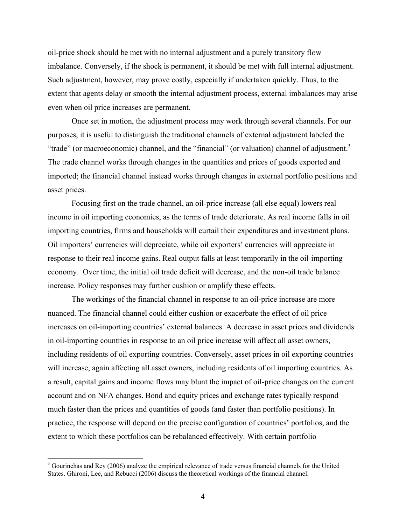oil-price shock should be met with no internal adjustment and a purely transitory flow imbalance. Conversely, if the shock is permanent, it should be met with full internal adjustment. Such adjustment, however, may prove costly, especially if undertaken quickly. Thus, to the extent that agents delay or smooth the internal adjustment process, external imbalances may arise even when oil price increases are permanent.

 Once set in motion, the adjustment process may work through several channels. For our purposes, it is useful to distinguish the traditional channels of external adjustment labeled the "trade" (or macroeconomic) channel, and the "financial" (or valuation) channel of adjustment.<sup>3</sup> The trade channel works through changes in the quantities and prices of goods exported and imported; the financial channel instead works through changes in external portfolio positions and asset prices.

 Focusing first on the trade channel, an oil-price increase (all else equal) lowers real income in oil importing economies, as the terms of trade deteriorate. As real income falls in oil importing countries, firms and households will curtail their expenditures and investment plans. Oil importers' currencies will depreciate, while oil exporters' currencies will appreciate in response to their real income gains. Real output falls at least temporarily in the oil-importing economy. Over time, the initial oil trade deficit will decrease, and the non-oil trade balance increase. Policy responses may further cushion or amplify these effects.

 The workings of the financial channel in response to an oil-price increase are more nuanced. The financial channel could either cushion or exacerbate the effect of oil price increases on oil-importing countries' external balances. A decrease in asset prices and dividends in oil-importing countries in response to an oil price increase will affect all asset owners, including residents of oil exporting countries. Conversely, asset prices in oil exporting countries will increase, again affecting all asset owners, including residents of oil importing countries. As a result, capital gains and income flows may blunt the impact of oil-price changes on the current account and on NFA changes. Bond and equity prices and exchange rates typically respond much faster than the prices and quantities of goods (and faster than portfolio positions). In practice, the response will depend on the precise configuration of countries' portfolios, and the extent to which these portfolios can be rebalanced effectively. With certain portfolio

 $\overline{a}$ 

 $3$  Gourinchas and Rey (2006) analyze the empirical relevance of trade versus financial channels for the United States. Ghironi, Lee, and Rebucci (2006) discuss the theoretical workings of the financial channel.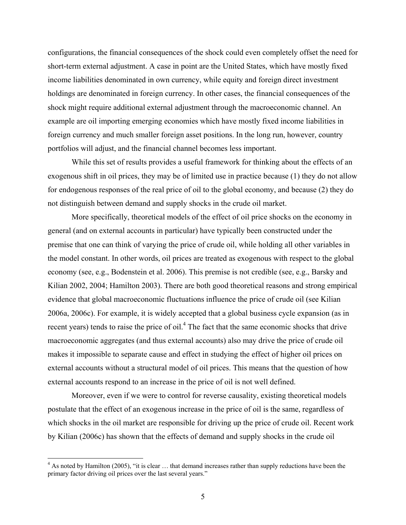configurations, the financial consequences of the shock could even completely offset the need for short-term external adjustment. A case in point are the United States, which have mostly fixed income liabilities denominated in own currency, while equity and foreign direct investment holdings are denominated in foreign currency. In other cases, the financial consequences of the shock might require additional external adjustment through the macroeconomic channel. An example are oil importing emerging economies which have mostly fixed income liabilities in foreign currency and much smaller foreign asset positions. In the long run, however, country portfolios will adjust, and the financial channel becomes less important.

 While this set of results provides a useful framework for thinking about the effects of an exogenous shift in oil prices, they may be of limited use in practice because (1) they do not allow for endogenous responses of the real price of oil to the global economy, and because (2) they do not distinguish between demand and supply shocks in the crude oil market.

More specifically, theoretical models of the effect of oil price shocks on the economy in general (and on external accounts in particular) have typically been constructed under the premise that one can think of varying the price of crude oil, while holding all other variables in the model constant. In other words, oil prices are treated as exogenous with respect to the global economy (see, e.g., Bodenstein et al. 2006). This premise is not credible (see, e.g., Barsky and Kilian 2002, 2004; Hamilton 2003). There are both good theoretical reasons and strong empirical evidence that global macroeconomic fluctuations influence the price of crude oil (see Kilian 2006a, 2006c). For example, it is widely accepted that a global business cycle expansion (as in recent years) tends to raise the price of oil.<sup>4</sup> The fact that the same economic shocks that drive macroeconomic aggregates (and thus external accounts) also may drive the price of crude oil makes it impossible to separate cause and effect in studying the effect of higher oil prices on external accounts without a structural model of oil prices. This means that the question of how external accounts respond to an increase in the price of oil is not well defined.

 Moreover, even if we were to control for reverse causality, existing theoretical models postulate that the effect of an exogenous increase in the price of oil is the same, regardless of which shocks in the oil market are responsible for driving up the price of crude oil. Recent work by Kilian (2006c) has shown that the effects of demand and supply shocks in the crude oil

 $\overline{a}$ 

 $4$  As noted by Hamilton (2005), "it is clear  $\dots$  that demand increases rather than supply reductions have been the primary factor driving oil prices over the last several years."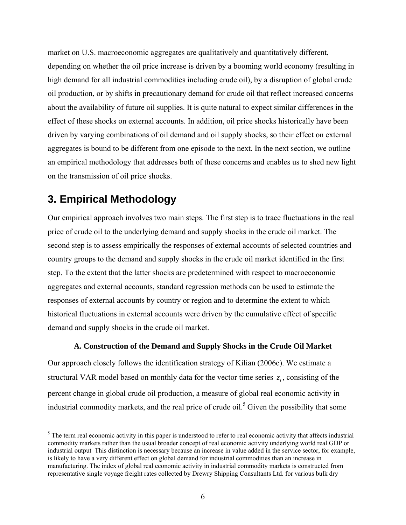market on U.S. macroeconomic aggregates are qualitatively and quantitatively different, depending on whether the oil price increase is driven by a booming world economy (resulting in high demand for all industrial commodities including crude oil), by a disruption of global crude oil production, or by shifts in precautionary demand for crude oil that reflect increased concerns about the availability of future oil supplies. It is quite natural to expect similar differences in the effect of these shocks on external accounts. In addition, oil price shocks historically have been driven by varying combinations of oil demand and oil supply shocks, so their effect on external aggregates is bound to be different from one episode to the next. In the next section, we outline an empirical methodology that addresses both of these concerns and enables us to shed new light on the transmission of oil price shocks.

# **3. Empirical Methodology**

 $\overline{a}$ 

Our empirical approach involves two main steps. The first step is to trace fluctuations in the real price of crude oil to the underlying demand and supply shocks in the crude oil market. The second step is to assess empirically the responses of external accounts of selected countries and country groups to the demand and supply shocks in the crude oil market identified in the first step. To the extent that the latter shocks are predetermined with respect to macroeconomic aggregates and external accounts, standard regression methods can be used to estimate the responses of external accounts by country or region and to determine the extent to which historical fluctuations in external accounts were driven by the cumulative effect of specific demand and supply shocks in the crude oil market.

### **A. Construction of the Demand and Supply Shocks in the Crude Oil Market**

Our approach closely follows the identification strategy of Kilian (2006c). We estimate a structural VAR model based on monthly data for the vector time series  $z_t$ , consisting of the percent change in global crude oil production, a measure of global real economic activity in industrial commodity markets, and the real price of crude oil.<sup>5</sup> Given the possibility that some

 $<sup>5</sup>$  The term real economic activity in this paper is understood to refer to real economic activity that affects industrial</sup> commodity markets rather than the usual broader concept of real economic activity underlying world real GDP or industrial output This distinction is necessary because an increase in value added in the service sector, for example, is likely to have a very different effect on global demand for industrial commodities than an increase in manufacturing. The index of global real economic activity in industrial commodity markets is constructed from representative single voyage freight rates collected by Drewry Shipping Consultants Ltd. for various bulk dry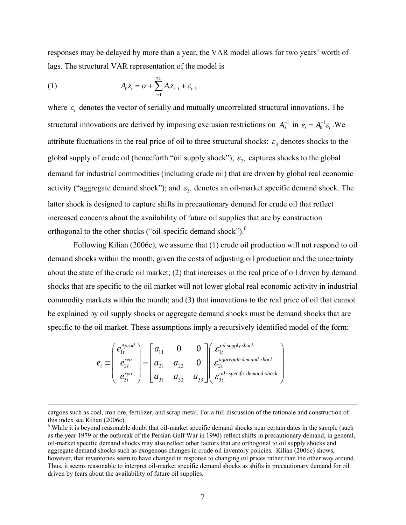responses may be delayed by more than a year, the VAR model allows for two years' worth of lags. The structural VAR representation of the model is

(1) 
$$
A_0 z_t = \alpha + \sum_{i=1}^{24} A_i z_{t-i} + \varepsilon_t,
$$

where  $\varepsilon$ , denotes the vector of serially and mutually uncorrelated structural innovations. The structural innovations are derived by imposing exclusion restrictions on  $A_0^{-1}$  in  $e_t = A_0^{-1} \varepsilon_t$ . We attribute fluctuations in the real price of oil to three structural shocks:  $\varepsilon_{1t}$  denotes shocks to the global supply of crude oil (henceforth "oil supply shock");  $\varepsilon_{2t}$  captures shocks to the global demand for industrial commodities (including crude oil) that are driven by global real economic activity ("aggregate demand shock"); and  $\varepsilon_{3t}$  denotes an oil-market specific demand shock. The latter shock is designed to capture shifts in precautionary demand for crude oil that reflect increased concerns about the availability of future oil supplies that are by construction orthogonal to the other shocks ("oil-specific demand shock").<sup>6</sup>

 Following Kilian (2006c), we assume that (1) crude oil production will not respond to oil demand shocks within the month, given the costs of adjusting oil production and the uncertainty about the state of the crude oil market; (2) that increases in the real price of oil driven by demand shocks that are specific to the oil market will not lower global real economic activity in industrial commodity markets within the month; and (3) that innovations to the real price of oil that cannot be explained by oil supply shocks or aggregate demand shocks must be demand shocks that are specific to the oil market. These assumptions imply a recursively identified model of the form:

$$
e_t \equiv \begin{pmatrix} e_{1t}^{\Delta prod} \\ e_{2t}^{\text{rea}} \\ e_{3t}^{\text{rpo}} \end{pmatrix} = \begin{bmatrix} a_{11} & 0 & 0 \\ a_{21} & a_{22} & 0 \\ a_{31} & a_{32} & a_{33} \end{bmatrix} \begin{pmatrix} \varepsilon_{1t}^{\text{oil supply shock}} \\ \varepsilon_{2t}^{\text{aggregate demand shock}} \\ \varepsilon_{3t}^{\text{oil-specific demand shock}} \end{pmatrix}.
$$

cargoes such as coal, iron ore, fertilizer, and scrap metal. For a full discussion of the rationale and construction of this index see Kilian (2006c).

<sup>&</sup>lt;sup>6</sup> While it is beyond reasonable doubt that oil-market specific demand shocks near certain dates in the sample (such as the year 1979 or the outbreak of the Persian Gulf War in 1990) reflect shifts in precautionary demand, in general, oil-market specific demand shocks may also reflect other factors that are orthogonal to oil supply shocks and aggregate demand shocks such as exogenous changes in crude oil inventory policies. Kilian (2006c) shows, however, that inventories seem to have changed in response to changing oil prices rather than the other way around. Thus, it seems reasonable to interpret oil-market specific demand shocks as shifts in precautionary demand for oil driven by fears about the availability of future oil supplies.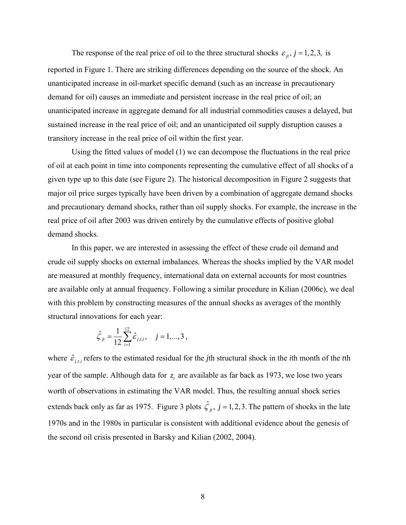The response of the real price of oil to the three structural shocks  $\varepsilon_{i}$ ,  $j = 1,2,3$ , is reported in Figure 1. There are striking differences depending on the source of the shock. An unanticipated increase in oil-market specific demand (such as an increase in precautionary demand for oil) causes an immediate and persistent increase in the real price of oil; an unanticipated increase in aggregate demand for all industrial commodities causes a delayed, but sustained increase in the real price of oil; and an unanticipated oil supply disruption causes a transitory increase in the real price of oil within the first year.

Using the fitted values of model (1) we can decompose the fluctuations in the real price of oil at each point in time into components representing the cumulative effect of all shocks of a given type up to this date (see Figure 2). The historical decomposition in Figure 2 suggests that major oil price surges typically have been driven by a combination of aggregate demand shocks and precautionary demand shocks, rather than oil supply shocks. For example, the increase in the real price of oil after 2003 was driven entirely by the cumulative effects of positive global demand shocks.

 In this paper, we are interested in assessing the effect of these crude oil demand and crude oil supply shocks on external imbalances. Whereas the shocks implied by the VAR model are measured at monthly frequency, international data on external accounts for most countries are available only at annual frequency. Following a similar procedure in Kilian (2006c), we deal with this problem by constructing measures of the annual shocks as averages of the monthly structural innovations for each year:

$$
\hat{\zeta}_{ji} = \frac{1}{12} \sum_{i=1}^{12} \hat{\varepsilon}_{j,t,i}, \quad j = 1,...,3,
$$

where  $\hat{\varepsilon}_{i}$  refers to the estimated residual for the *j*th structural shock in the *i*th month of the *t*th year of the sample. Although data for  $z_t$  are available as far back as 1973, we lose two years worth of observations in estimating the VAR model. Thus, the resulting annual shock series extends back only as far as 1975. Figure 3 plots  $\hat{\zeta}_i$ ,  $j = 1,2,3$ . The pattern of shocks in the late 1970s and in the 1980s in particular is consistent with additional evidence about the genesis of the second oil crisis presented in Barsky and Kilian (2002, 2004).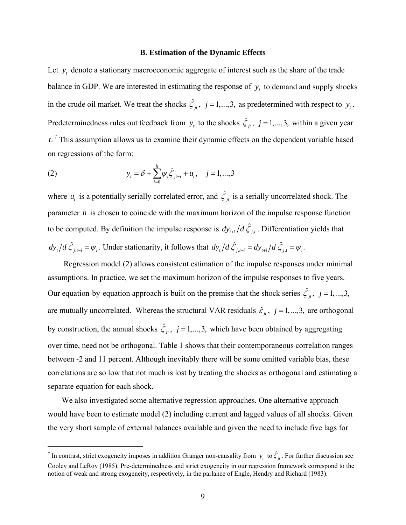#### **B. Estimation of the Dynamic Effects**

Let  $y_t$ , denote a stationary macroeconomic aggregate of interest such as the share of the trade balance in GDP. We are interested in estimating the response of  $y_t$  to demand and supply shocks in the crude oil market. We treat the shocks  $\hat{\zeta}_i$ ,  $j = 1,...,3$ , as predetermined with respect to  $y_i$ . Predeterminedness rules out feedback from  $y_t$  to the shocks  $\hat{\zeta}_t$ ,  $j = 1,...,3$ , within a given year  $t$ .<sup>7</sup> This assumption allows us to examine their dynamic effects on the dependent variable based on regressions of the form:

(2) 
$$
y_{t} = \delta + \sum_{i=0}^{h} \psi_{i} \hat{\zeta}_{jt-i} + u_{t}, \quad j = 1,...,3
$$

 $\overline{a}$ 

where  $u_t$  is a potentially serially correlated error, and  $\hat{\zeta}_t$  is a serially uncorrelated shock. The parameter *h* is chosen to coincide with the maximum horizon of the impulse response function to be computed. By definition the impulse response is  $dy_{t+1}/d\hat{\zeta}_{it}$ . Differentiation yields that  $dy_t/d\hat{\zeta}_{j,t-i} = \psi_i$ . Under stationarity, it follows that  $dy_t/d\hat{\zeta}_{j,t-i} = dy_{t+i}/d\hat{\zeta}_{j,t} = \psi_i$ .

 Regression model (2) allows consistent estimation of the impulse responses under minimal assumptions. In practice, we set the maximum horizon of the impulse responses to five years. Our equation-by-equation approach is built on the premise that the shock series  $\hat{\zeta}_i$ ,  $j = 1,...,3$ , are mutually uncorrelated. Whereas the structural VAR residuals  $\hat{\varepsilon}_j$ ,  $j = 1,...,3$ , are orthogonal by construction, the annual shocks  $\hat{\zeta}_i$ ,  $j = 1,...,3$ , which have been obtained by aggregating over time, need not be orthogonal. Table 1 shows that their contemporaneous correlation ranges between -2 and 11 percent. Although inevitably there will be some omitted variable bias, these correlations are so low that not much is lost by treating the shocks as orthogonal and estimating a separate equation for each shock.

 We also investigated some alternative regression approaches. One alternative approach would have been to estimate model (2) including current and lagged values of all shocks. Given the very short sample of external balances available and given the need to include five lags for

<sup>&</sup>lt;sup>7</sup> In contrast, strict exogeneity imposes in addition Granger non-causality from  $y_t$  to  $\hat{\zeta}_t$ . For further discussion see Cooley and LeRoy (1985). Pre-determinedness and strict exogeneity in our regression framework correspond to the notion of weak and strong exogeneity, respectively, in the parlance of Engle, Hendry and Richard (1983).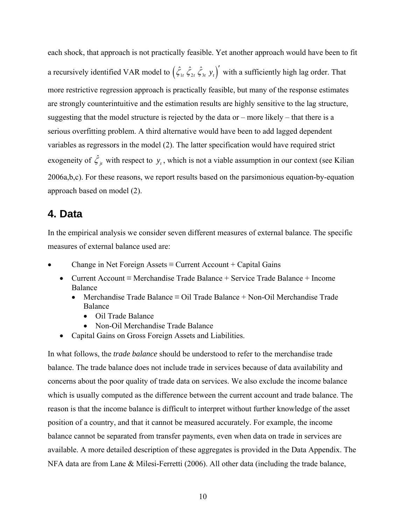each shock, that approach is not practically feasible. Yet another approach would have been to fit a recursively identified VAR model to  $(\hat{\zeta}_1, \hat{\zeta}_2, \hat{\zeta}_3, y_t)$  with a sufficiently high lag order. That more restrictive regression approach is practically feasible, but many of the response estimates are strongly counterintuitive and the estimation results are highly sensitive to the lag structure, suggesting that the model structure is rejected by the data or – more likely – that there is a serious overfitting problem. A third alternative would have been to add lagged dependent variables as regressors in the model (2). The latter specification would have required strict exogeneity of  $\hat{\zeta}_i$  with respect to  $y_t$ , which is not a viable assumption in our context (see Kilian 2006a,b,c). For these reasons, we report results based on the parsimonious equation-by-equation approach based on model (2).

# **4. Data**

In the empirical analysis we consider seven different measures of external balance. The specific measures of external balance used are:

- Change in Net Foreign Assets  $\equiv$  Current Account + Capital Gains
	- Current Account ≡ Merchandise Trade Balance + Service Trade Balance + Income Balance
		- Merchandise Trade Balance ≡ Oil Trade Balance + Non-Oil Merchandise Trade Balance
			- Oil Trade Balance
			- Non-Oil Merchandise Trade Balance
	- Capital Gains on Gross Foreign Assets and Liabilities.

In what follows, the *trade balance* should be understood to refer to the merchandise trade balance. The trade balance does not include trade in services because of data availability and concerns about the poor quality of trade data on services. We also exclude the income balance which is usually computed as the difference between the current account and trade balance. The reason is that the income balance is difficult to interpret without further knowledge of the asset position of a country, and that it cannot be measured accurately. For example, the income balance cannot be separated from transfer payments, even when data on trade in services are available. A more detailed description of these aggregates is provided in the Data Appendix. The NFA data are from Lane & Milesi-Ferretti (2006). All other data (including the trade balance,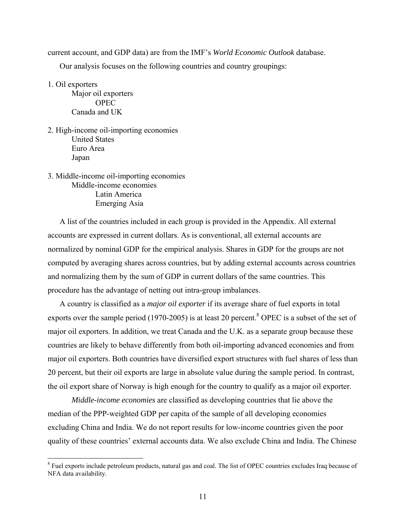current account, and GDP data) are from the IMF's *World Economic Outlook* database.

Our analysis focuses on the following countries and country groupings:

1. Oil exporters

 $\overline{a}$ 

Major oil exporters OPEC Canada and UK

- 2. High-income oil-importing economies United States Euro Area Japan
- 3. Middle-income oil-importing economies Middle-income economies Latin America Emerging Asia

A list of the countries included in each group is provided in the Appendix. All external accounts are expressed in current dollars. As is conventional, all external accounts are normalized by nominal GDP for the empirical analysis. Shares in GDP for the groups are not computed by averaging shares across countries, but by adding external accounts across countries and normalizing them by the sum of GDP in current dollars of the same countries. This procedure has the advantage of netting out intra-group imbalances.

A country is classified as a *major oil exporter* if its average share of fuel exports in total exports over the sample period (1970-2005) is at least 20 percent.<sup>8</sup> OPEC is a subset of the set of major oil exporters. In addition, we treat Canada and the U.K. as a separate group because these countries are likely to behave differently from both oil-importing advanced economies and from major oil exporters. Both countries have diversified export structures with fuel shares of less than 20 percent, but their oil exports are large in absolute value during the sample period. In contrast, the oil export share of Norway is high enough for the country to qualify as a major oil exporter.

*Middle-income economies* are classified as developing countries that lie above the median of the PPP-weighted GDP per capita of the sample of all developing economies excluding China and India. We do not report results for low-income countries given the poor quality of these countries' external accounts data. We also exclude China and India. The Chinese

<sup>&</sup>lt;sup>8</sup> Fuel exports include petroleum products, natural gas and coal. The list of OPEC countries excludes Iraq because of NFA data availability.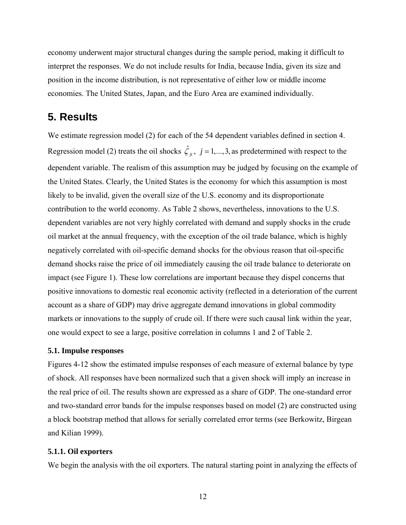economy underwent major structural changes during the sample period, making it difficult to interpret the responses. We do not include results for India, because India, given its size and position in the income distribution, is not representative of either low or middle income economies. The United States, Japan, and the Euro Area are examined individually.

### **5. Results**

We estimate regression model (2) for each of the 54 dependent variables defined in section 4. Regression model (2) treats the oil shocks  $\hat{\zeta}_i$ ,  $j = 1,...,3$ , as predetermined with respect to the dependent variable. The realism of this assumption may be judged by focusing on the example of the United States. Clearly, the United States is the economy for which this assumption is most likely to be invalid, given the overall size of the U.S. economy and its disproportionate contribution to the world economy. As Table 2 shows, nevertheless, innovations to the U.S. dependent variables are not very highly correlated with demand and supply shocks in the crude oil market at the annual frequency, with the exception of the oil trade balance, which is highly negatively correlated with oil-specific demand shocks for the obvious reason that oil-specific demand shocks raise the price of oil immediately causing the oil trade balance to deteriorate on impact (see Figure 1). These low correlations are important because they dispel concerns that positive innovations to domestic real economic activity (reflected in a deterioration of the current account as a share of GDP) may drive aggregate demand innovations in global commodity markets or innovations to the supply of crude oil. If there were such causal link within the year, one would expect to see a large, positive correlation in columns 1 and 2 of Table 2.

#### **5.1. Impulse responses**

Figures 4-12 show the estimated impulse responses of each measure of external balance by type of shock. All responses have been normalized such that a given shock will imply an increase in the real price of oil. The results shown are expressed as a share of GDP. The one-standard error and two-standard error bands for the impulse responses based on model (2) are constructed using a block bootstrap method that allows for serially correlated error terms (see Berkowitz, Birgean and Kilian 1999).

#### **5.1.1. Oil exporters**

We begin the analysis with the oil exporters. The natural starting point in analyzing the effects of

12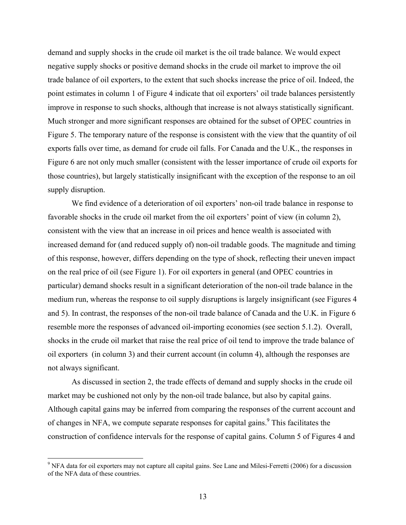demand and supply shocks in the crude oil market is the oil trade balance. We would expect negative supply shocks or positive demand shocks in the crude oil market to improve the oil trade balance of oil exporters, to the extent that such shocks increase the price of oil. Indeed, the point estimates in column 1 of Figure 4 indicate that oil exporters' oil trade balances persistently improve in response to such shocks, although that increase is not always statistically significant. Much stronger and more significant responses are obtained for the subset of OPEC countries in Figure 5. The temporary nature of the response is consistent with the view that the quantity of oil exports falls over time, as demand for crude oil falls. For Canada and the U.K., the responses in Figure 6 are not only much smaller (consistent with the lesser importance of crude oil exports for those countries), but largely statistically insignificant with the exception of the response to an oil supply disruption.

We find evidence of a deterioration of oil exporters' non-oil trade balance in response to favorable shocks in the crude oil market from the oil exporters' point of view (in column 2), consistent with the view that an increase in oil prices and hence wealth is associated with increased demand for (and reduced supply of) non-oil tradable goods. The magnitude and timing of this response, however, differs depending on the type of shock, reflecting their uneven impact on the real price of oil (see Figure 1). For oil exporters in general (and OPEC countries in particular) demand shocks result in a significant deterioration of the non-oil trade balance in the medium run, whereas the response to oil supply disruptions is largely insignificant (see Figures 4 and 5). In contrast, the responses of the non-oil trade balance of Canada and the U.K. in Figure 6 resemble more the responses of advanced oil-importing economies (see section 5.1.2). Overall, shocks in the crude oil market that raise the real price of oil tend to improve the trade balance of oil exporters (in column 3) and their current account (in column 4), although the responses are not always significant.

 As discussed in section 2, the trade effects of demand and supply shocks in the crude oil market may be cushioned not only by the non-oil trade balance, but also by capital gains. Although capital gains may be inferred from comparing the responses of the current account and of changes in NFA, we compute separate responses for capital gains.<sup>9</sup> This facilitates the construction of confidence intervals for the response of capital gains. Column 5 of Figures 4 and

 $\overline{a}$ 

<sup>&</sup>lt;sup>9</sup> NFA data for oil exporters may not capture all capital gains. See Lane and Milesi-Ferretti (2006) for a discussion of the NFA data of these countries.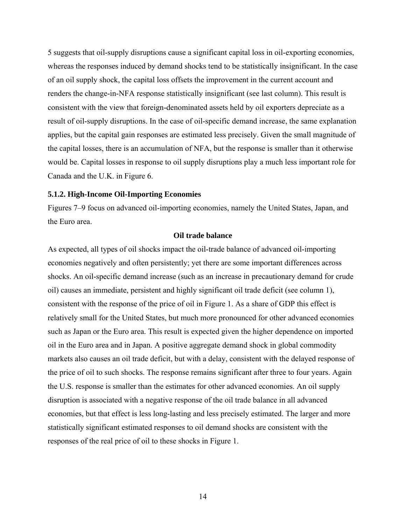5 suggests that oil-supply disruptions cause a significant capital loss in oil-exporting economies, whereas the responses induced by demand shocks tend to be statistically insignificant. In the case of an oil supply shock, the capital loss offsets the improvement in the current account and renders the change-in-NFA response statistically insignificant (see last column). This result is consistent with the view that foreign-denominated assets held by oil exporters depreciate as a result of oil-supply disruptions. In the case of oil-specific demand increase, the same explanation applies, but the capital gain responses are estimated less precisely. Given the small magnitude of the capital losses, there is an accumulation of NFA, but the response is smaller than it otherwise would be. Capital losses in response to oil supply disruptions play a much less important role for Canada and the U.K. in Figure 6.

#### **5.1.2. High-Income Oil-Importing Economies**

Figures 7–9 focus on advanced oil-importing economies, namely the United States, Japan, and the Euro area.

#### **Oil trade balance**

As expected, all types of oil shocks impact the oil-trade balance of advanced oil-importing economies negatively and often persistently; yet there are some important differences across shocks. An oil-specific demand increase (such as an increase in precautionary demand for crude oil) causes an immediate, persistent and highly significant oil trade deficit (see column 1), consistent with the response of the price of oil in Figure 1. As a share of GDP this effect is relatively small for the United States, but much more pronounced for other advanced economies such as Japan or the Euro area. This result is expected given the higher dependence on imported oil in the Euro area and in Japan. A positive aggregate demand shock in global commodity markets also causes an oil trade deficit, but with a delay, consistent with the delayed response of the price of oil to such shocks. The response remains significant after three to four years. Again the U.S. response is smaller than the estimates for other advanced economies. An oil supply disruption is associated with a negative response of the oil trade balance in all advanced economies, but that effect is less long-lasting and less precisely estimated. The larger and more statistically significant estimated responses to oil demand shocks are consistent with the responses of the real price of oil to these shocks in Figure 1.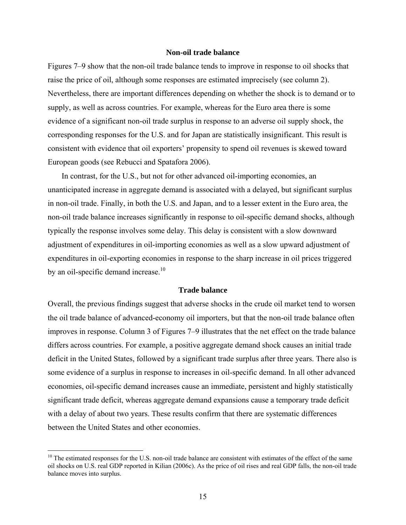#### **Non-oil trade balance**

Figures 7–9 show that the non-oil trade balance tends to improve in response to oil shocks that raise the price of oil, although some responses are estimated imprecisely (see column 2). Nevertheless, there are important differences depending on whether the shock is to demand or to supply, as well as across countries. For example, whereas for the Euro area there is some evidence of a significant non-oil trade surplus in response to an adverse oil supply shock, the corresponding responses for the U.S. and for Japan are statistically insignificant. This result is consistent with evidence that oil exporters' propensity to spend oil revenues is skewed toward European goods (see Rebucci and Spatafora 2006).

 In contrast, for the U.S., but not for other advanced oil-importing economies, an unanticipated increase in aggregate demand is associated with a delayed, but significant surplus in non-oil trade. Finally, in both the U.S. and Japan, and to a lesser extent in the Euro area, the non-oil trade balance increases significantly in response to oil-specific demand shocks, although typically the response involves some delay. This delay is consistent with a slow downward adjustment of expenditures in oil-importing economies as well as a slow upward adjustment of expenditures in oil-exporting economies in response to the sharp increase in oil prices triggered by an oil-specific demand increase.<sup>10</sup>

#### **Trade balance**

Overall, the previous findings suggest that adverse shocks in the crude oil market tend to worsen the oil trade balance of advanced-economy oil importers, but that the non-oil trade balance often improves in response. Column 3 of Figures 7–9 illustrates that the net effect on the trade balance differs across countries. For example, a positive aggregate demand shock causes an initial trade deficit in the United States, followed by a significant trade surplus after three years. There also is some evidence of a surplus in response to increases in oil-specific demand. In all other advanced economies, oil-specific demand increases cause an immediate, persistent and highly statistically significant trade deficit, whereas aggregate demand expansions cause a temporary trade deficit with a delay of about two years. These results confirm that there are systematic differences between the United States and other economies.

 $\overline{a}$ 

 $10$  The estimated responses for the U.S. non-oil trade balance are consistent with estimates of the effect of the same oil shocks on U.S. real GDP reported in Kilian (2006c). As the price of oil rises and real GDP falls, the non-oil trade balance moves into surplus.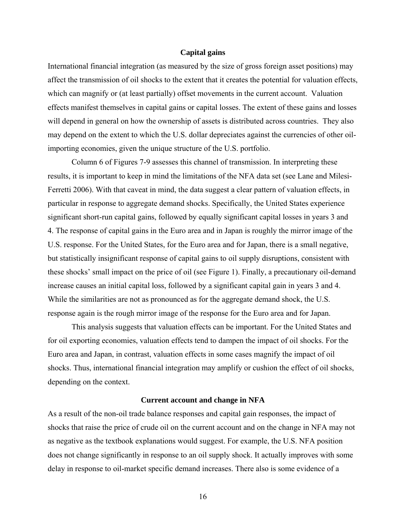#### **Capital gains**

International financial integration (as measured by the size of gross foreign asset positions) may affect the transmission of oil shocks to the extent that it creates the potential for valuation effects, which can magnify or (at least partially) offset movements in the current account. Valuation effects manifest themselves in capital gains or capital losses. The extent of these gains and losses will depend in general on how the ownership of assets is distributed across countries. They also may depend on the extent to which the U.S. dollar depreciates against the currencies of other oilimporting economies, given the unique structure of the U.S. portfolio.

Column 6 of Figures 7-9 assesses this channel of transmission. In interpreting these results, it is important to keep in mind the limitations of the NFA data set (see Lane and Milesi-Ferretti 2006). With that caveat in mind, the data suggest a clear pattern of valuation effects, in particular in response to aggregate demand shocks. Specifically, the United States experience significant short-run capital gains, followed by equally significant capital losses in years 3 and 4. The response of capital gains in the Euro area and in Japan is roughly the mirror image of the U.S. response. For the United States, for the Euro area and for Japan, there is a small negative, but statistically insignificant response of capital gains to oil supply disruptions, consistent with these shocks' small impact on the price of oil (see Figure 1). Finally, a precautionary oil-demand increase causes an initial capital loss, followed by a significant capital gain in years 3 and 4. While the similarities are not as pronounced as for the aggregate demand shock, the U.S. response again is the rough mirror image of the response for the Euro area and for Japan.

This analysis suggests that valuation effects can be important. For the United States and for oil exporting economies, valuation effects tend to dampen the impact of oil shocks. For the Euro area and Japan, in contrast, valuation effects in some cases magnify the impact of oil shocks. Thus, international financial integration may amplify or cushion the effect of oil shocks, depending on the context.

#### **Current account and change in NFA**

As a result of the non-oil trade balance responses and capital gain responses, the impact of shocks that raise the price of crude oil on the current account and on the change in NFA may not as negative as the textbook explanations would suggest. For example, the U.S. NFA position does not change significantly in response to an oil supply shock. It actually improves with some delay in response to oil-market specific demand increases. There also is some evidence of a

16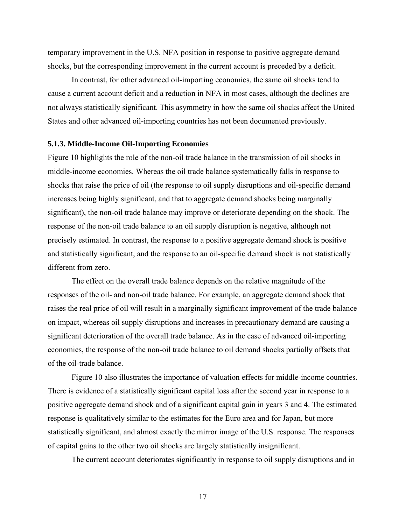temporary improvement in the U.S. NFA position in response to positive aggregate demand shocks, but the corresponding improvement in the current account is preceded by a deficit.

In contrast, for other advanced oil-importing economies, the same oil shocks tend to cause a current account deficit and a reduction in NFA in most cases, although the declines are not always statistically significant. This asymmetry in how the same oil shocks affect the United States and other advanced oil-importing countries has not been documented previously.

#### **5.1.3. Middle-Income Oil-Importing Economies**

Figure 10 highlights the role of the non-oil trade balance in the transmission of oil shocks in middle-income economies. Whereas the oil trade balance systematically falls in response to shocks that raise the price of oil (the response to oil supply disruptions and oil-specific demand increases being highly significant, and that to aggregate demand shocks being marginally significant), the non-oil trade balance may improve or deteriorate depending on the shock. The response of the non-oil trade balance to an oil supply disruption is negative, although not precisely estimated. In contrast, the response to a positive aggregate demand shock is positive and statistically significant, and the response to an oil-specific demand shock is not statistically different from zero.

 The effect on the overall trade balance depends on the relative magnitude of the responses of the oil- and non-oil trade balance. For example, an aggregate demand shock that raises the real price of oil will result in a marginally significant improvement of the trade balance on impact, whereas oil supply disruptions and increases in precautionary demand are causing a significant deterioration of the overall trade balance. As in the case of advanced oil-importing economies, the response of the non-oil trade balance to oil demand shocks partially offsets that of the oil-trade balance.

 Figure 10 also illustrates the importance of valuation effects for middle-income countries. There is evidence of a statistically significant capital loss after the second year in response to a positive aggregate demand shock and of a significant capital gain in years 3 and 4. The estimated response is qualitatively similar to the estimates for the Euro area and for Japan, but more statistically significant, and almost exactly the mirror image of the U.S. response. The responses of capital gains to the other two oil shocks are largely statistically insignificant.

The current account deteriorates significantly in response to oil supply disruptions and in

17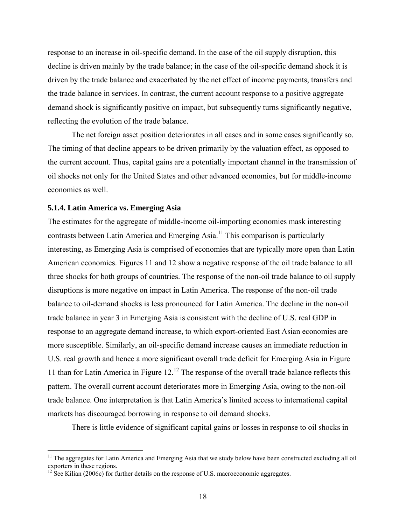response to an increase in oil-specific demand. In the case of the oil supply disruption, this decline is driven mainly by the trade balance; in the case of the oil-specific demand shock it is driven by the trade balance and exacerbated by the net effect of income payments, transfers and the trade balance in services. In contrast, the current account response to a positive aggregate demand shock is significantly positive on impact, but subsequently turns significantly negative, reflecting the evolution of the trade balance.

The net foreign asset position deteriorates in all cases and in some cases significantly so. The timing of that decline appears to be driven primarily by the valuation effect, as opposed to the current account. Thus, capital gains are a potentially important channel in the transmission of oil shocks not only for the United States and other advanced economies, but for middle-income economies as well.

#### **5.1.4. Latin America vs. Emerging Asia**

 $\overline{a}$ 

The estimates for the aggregate of middle-income oil-importing economies mask interesting contrasts between Latin America and Emerging Asia.<sup>11</sup> This comparison is particularly interesting, as Emerging Asia is comprised of economies that are typically more open than Latin American economies. Figures 11 and 12 show a negative response of the oil trade balance to all three shocks for both groups of countries. The response of the non-oil trade balance to oil supply disruptions is more negative on impact in Latin America. The response of the non-oil trade balance to oil-demand shocks is less pronounced for Latin America. The decline in the non-oil trade balance in year 3 in Emerging Asia is consistent with the decline of U.S. real GDP in response to an aggregate demand increase, to which export-oriented East Asian economies are more susceptible. Similarly, an oil-specific demand increase causes an immediate reduction in U.S. real growth and hence a more significant overall trade deficit for Emerging Asia in Figure 11 than for Latin America in Figure 12.12 The response of the overall trade balance reflects this pattern. The overall current account deteriorates more in Emerging Asia, owing to the non-oil trade balance. One interpretation is that Latin America's limited access to international capital markets has discouraged borrowing in response to oil demand shocks.

There is little evidence of significant capital gains or losses in response to oil shocks in

<sup>&</sup>lt;sup>11</sup> The aggregates for Latin America and Emerging Asia that we study below have been constructed excluding all oil exporters in these regions.

 $^{12}$  See Kilian (2006c) for further details on the response of U.S. macroeconomic aggregates.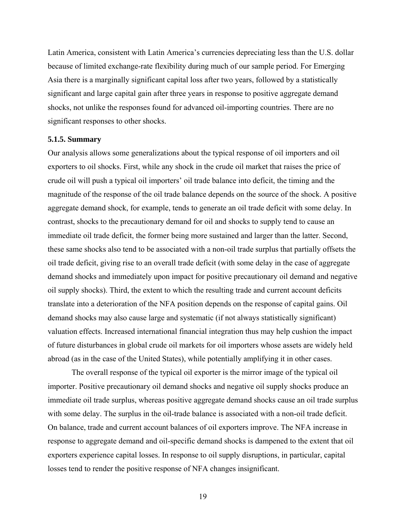Latin America, consistent with Latin America's currencies depreciating less than the U.S. dollar because of limited exchange-rate flexibility during much of our sample period. For Emerging Asia there is a marginally significant capital loss after two years, followed by a statistically significant and large capital gain after three years in response to positive aggregate demand shocks, not unlike the responses found for advanced oil-importing countries. There are no significant responses to other shocks.

#### **5.1.5. Summary**

Our analysis allows some generalizations about the typical response of oil importers and oil exporters to oil shocks. First, while any shock in the crude oil market that raises the price of crude oil will push a typical oil importers' oil trade balance into deficit, the timing and the magnitude of the response of the oil trade balance depends on the source of the shock. A positive aggregate demand shock, for example, tends to generate an oil trade deficit with some delay. In contrast, shocks to the precautionary demand for oil and shocks to supply tend to cause an immediate oil trade deficit, the former being more sustained and larger than the latter. Second, these same shocks also tend to be associated with a non-oil trade surplus that partially offsets the oil trade deficit, giving rise to an overall trade deficit (with some delay in the case of aggregate demand shocks and immediately upon impact for positive precautionary oil demand and negative oil supply shocks). Third, the extent to which the resulting trade and current account deficits translate into a deterioration of the NFA position depends on the response of capital gains. Oil demand shocks may also cause large and systematic (if not always statistically significant) valuation effects. Increased international financial integration thus may help cushion the impact of future disturbances in global crude oil markets for oil importers whose assets are widely held abroad (as in the case of the United States), while potentially amplifying it in other cases.

 The overall response of the typical oil exporter is the mirror image of the typical oil importer. Positive precautionary oil demand shocks and negative oil supply shocks produce an immediate oil trade surplus, whereas positive aggregate demand shocks cause an oil trade surplus with some delay. The surplus in the oil-trade balance is associated with a non-oil trade deficit. On balance, trade and current account balances of oil exporters improve. The NFA increase in response to aggregate demand and oil-specific demand shocks is dampened to the extent that oil exporters experience capital losses. In response to oil supply disruptions, in particular, capital losses tend to render the positive response of NFA changes insignificant.

19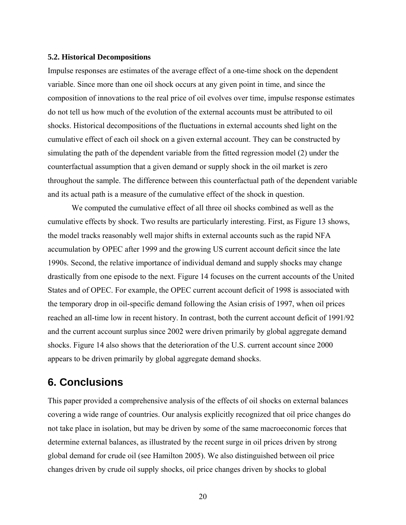#### **5.2. Historical Decompositions**

Impulse responses are estimates of the average effect of a one-time shock on the dependent variable. Since more than one oil shock occurs at any given point in time, and since the composition of innovations to the real price of oil evolves over time, impulse response estimates do not tell us how much of the evolution of the external accounts must be attributed to oil shocks. Historical decompositions of the fluctuations in external accounts shed light on the cumulative effect of each oil shock on a given external account. They can be constructed by simulating the path of the dependent variable from the fitted regression model (2) under the counterfactual assumption that a given demand or supply shock in the oil market is zero throughout the sample. The difference between this counterfactual path of the dependent variable and its actual path is a measure of the cumulative effect of the shock in question.

 We computed the cumulative effect of all three oil shocks combined as well as the cumulative effects by shock. Two results are particularly interesting. First, as Figure 13 shows, the model tracks reasonably well major shifts in external accounts such as the rapid NFA accumulation by OPEC after 1999 and the growing US current account deficit since the late 1990s. Second, the relative importance of individual demand and supply shocks may change drastically from one episode to the next. Figure 14 focuses on the current accounts of the United States and of OPEC. For example, the OPEC current account deficit of 1998 is associated with the temporary drop in oil-specific demand following the Asian crisis of 1997, when oil prices reached an all-time low in recent history. In contrast, both the current account deficit of 1991/92 and the current account surplus since 2002 were driven primarily by global aggregate demand shocks. Figure 14 also shows that the deterioration of the U.S. current account since 2000 appears to be driven primarily by global aggregate demand shocks.

# **6. Conclusions**

This paper provided a comprehensive analysis of the effects of oil shocks on external balances covering a wide range of countries. Our analysis explicitly recognized that oil price changes do not take place in isolation, but may be driven by some of the same macroeconomic forces that determine external balances, as illustrated by the recent surge in oil prices driven by strong global demand for crude oil (see Hamilton 2005). We also distinguished between oil price changes driven by crude oil supply shocks, oil price changes driven by shocks to global

<sup>20</sup>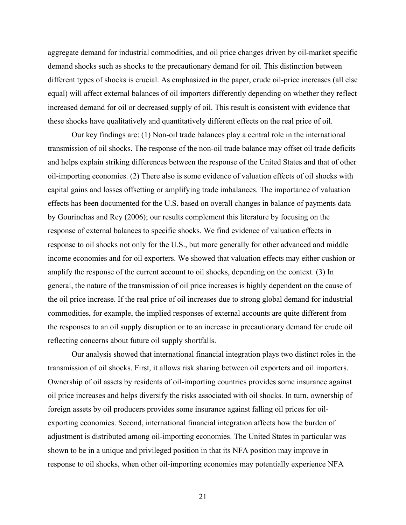aggregate demand for industrial commodities, and oil price changes driven by oil-market specific demand shocks such as shocks to the precautionary demand for oil. This distinction between different types of shocks is crucial. As emphasized in the paper, crude oil-price increases (all else equal) will affect external balances of oil importers differently depending on whether they reflect increased demand for oil or decreased supply of oil. This result is consistent with evidence that these shocks have qualitatively and quantitatively different effects on the real price of oil.

Our key findings are: (1) Non-oil trade balances play a central role in the international transmission of oil shocks. The response of the non-oil trade balance may offset oil trade deficits and helps explain striking differences between the response of the United States and that of other oil-importing economies. (2) There also is some evidence of valuation effects of oil shocks with capital gains and losses offsetting or amplifying trade imbalances. The importance of valuation effects has been documented for the U.S. based on overall changes in balance of payments data by Gourinchas and Rey (2006); our results complement this literature by focusing on the response of external balances to specific shocks. We find evidence of valuation effects in response to oil shocks not only for the U.S., but more generally for other advanced and middle income economies and for oil exporters. We showed that valuation effects may either cushion or amplify the response of the current account to oil shocks, depending on the context. (3) In general, the nature of the transmission of oil price increases is highly dependent on the cause of the oil price increase. If the real price of oil increases due to strong global demand for industrial commodities, for example, the implied responses of external accounts are quite different from the responses to an oil supply disruption or to an increase in precautionary demand for crude oil reflecting concerns about future oil supply shortfalls.

 Our analysis showed that international financial integration plays two distinct roles in the transmission of oil shocks. First, it allows risk sharing between oil exporters and oil importers. Ownership of oil assets by residents of oil-importing countries provides some insurance against oil price increases and helps diversify the risks associated with oil shocks. In turn, ownership of foreign assets by oil producers provides some insurance against falling oil prices for oilexporting economies. Second, international financial integration affects how the burden of adjustment is distributed among oil-importing economies. The United States in particular was shown to be in a unique and privileged position in that its NFA position may improve in response to oil shocks, when other oil-importing economies may potentially experience NFA

21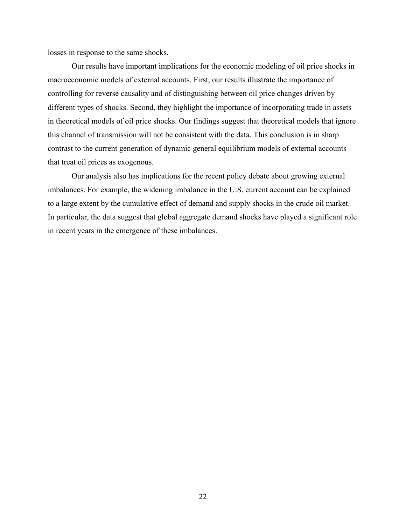losses in response to the same shocks.

 Our results have important implications for the economic modeling of oil price shocks in macroeconomic models of external accounts. First, our results illustrate the importance of controlling for reverse causality and of distinguishing between oil price changes driven by different types of shocks. Second, they highlight the importance of incorporating trade in assets in theoretical models of oil price shocks. Our findings suggest that theoretical models that ignore this channel of transmission will not be consistent with the data. This conclusion is in sharp contrast to the current generation of dynamic general equilibrium models of external accounts that treat oil prices as exogenous.

 Our analysis also has implications for the recent policy debate about growing external imbalances. For example, the widening imbalance in the U.S. current account can be explained to a large extent by the cumulative effect of demand and supply shocks in the crude oil market. In particular, the data suggest that global aggregate demand shocks have played a significant role in recent years in the emergence of these imbalances.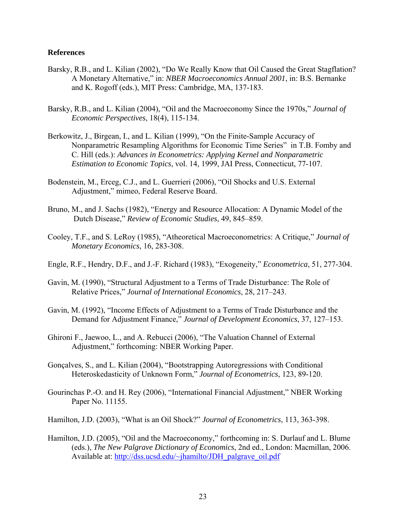#### **References**

- Barsky, R.B., and L. Kilian (2002), "Do We Really Know that Oil Caused the Great Stagflation? A Monetary Alternative," in: *NBER Macroeconomics Annual 2001*, in: B.S. Bernanke and K. Rogoff (eds.), MIT Press: Cambridge, MA, 137-183.
- Barsky, R.B., and L. Kilian (2004), "Oil and the Macroeconomy Since the 1970s," *Journal of Economic Perspectives*, 18(4), 115-134.
- Berkowitz, J., Birgean, I., and L. Kilian (1999), "On the Finite-Sample Accuracy of Nonparametric Resampling Algorithms for Economic Time Series" in T.B. Fomby and C. Hill (eds.): *Advances in Econometrics: Applying Kernel and Nonparametric Estimation to Economic Topics*, vol. 14, 1999, JAI Press, Connecticut, 77-107.
- Bodenstein, M., Erceg, C.J., and L. Guerrieri (2006), "Oil Shocks and U.S. External Adjustment," mimeo, Federal Reserve Board.
- Bruno, M., and J. Sachs (1982), "Energy and Resource Allocation: A Dynamic Model of the Dutch Disease," *Review of Economic Studies*, 49, 845–859.
- Cooley, T.F., and S. LeRoy (1985), "Atheoretical Macroeconometrics: A Critique," *Journal of Monetary Economics*, 16, 283-308.
- Engle, R.F., Hendry, D.F., and J.-F. Richard (1983), "Exogeneity," *Econometrica*, 51, 277-304.
- Gavin, M. (1990), "Structural Adjustment to a Terms of Trade Disturbance: The Role of Relative Prices," *Journal of International Economics*, 28, 217–243.
- Gavin, M. (1992), "Income Effects of Adjustment to a Terms of Trade Disturbance and the Demand for Adjustment Finance," *Journal of Development Economics*, 37, 127–153.
- Ghironi F., Jaewoo, L., and A. Rebucci (2006), "The Valuation Channel of External Adjustment," forthcoming: NBER Working Paper.
- Gonçalves, S., and L. Kilian (2004), "Bootstrapping Autoregressions with Conditional Heteroskedasticity of Unknown Form," *Journal of Econometrics*, 123, 89-120.
- Gourinchas P.-O. and H. Rey (2006), "International Financial Adjustment," NBER Working Paper No. 11155.
- Hamilton, J.D. (2003), "What is an Oil Shock?" *Journal of Econometrics*, 113, 363-398.
- Hamilton, J.D. (2005), "Oil and the Macroeconomy," forthcoming in: S. Durlauf and L. Blume (eds.), *The New Palgrave Dictionary of Economics*, 2nd ed., London: Macmillan, 2006. Available at: http://dss.ucsd.edu/~jhamilto/JDH\_palgrave\_oil.pdf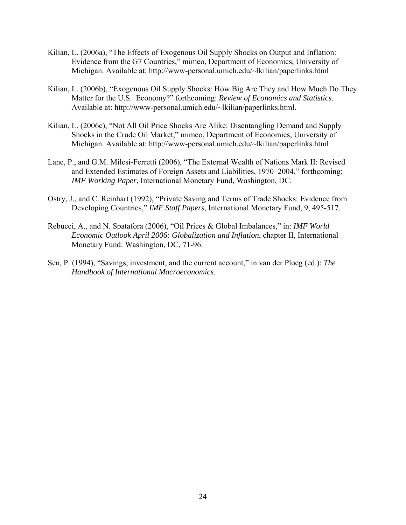- Kilian, L. (2006a), "The Effects of Exogenous Oil Supply Shocks on Output and Inflation: Evidence from the G7 Countries," mimeo, Department of Economics, University of Michigan. Available at: http://www-personal.umich.edu/~lkilian/paperlinks.html
- Kilian, L. (2006b), "Exogenous Oil Supply Shocks: How Big Are They and How Much Do They Matter for the U.S. Economy?" forthcoming: *Review of Economics and Statistics*. Available at: http://www-personal.umich.edu/~lkilian/paperlinks.html.
- Kilian, L. (2006c), "Not All Oil Price Shocks Are Alike: Disentangling Demand and Supply Shocks in the Crude Oil Market," mimeo, Department of Economics, University of Michigan. Available at: http://www-personal.umich.edu/~lkilian/paperlinks.html
- Lane, P., and G.M. Milesi-Ferretti (2006), "The External Wealth of Nations Mark II: Revised and Extended Estimates of Foreign Assets and Liabilities, 1970–2004," forthcoming: *IMF Working Paper*, International Monetary Fund, Washington, DC.
- Ostry, J., and C. Reinhart (1992), "Private Saving and Terms of Trade Shocks: Evidence from Developing Countries," *IMF Staff Papers*, International Monetary Fund, 9, 495-517.
- Rebucci, A., and N. Spatafora (2006), "Oil Prices & Global Imbalances," in: *IMF World Economic Outlook April 2006: Globalization and Inflation*, chapter II, International Monetary Fund: Washington, DC, 71-96.
- Sen, P. (1994), "Savings, investment, and the current account," in van der Ploeg (ed.): *The Handbook of International Macroeconomics*.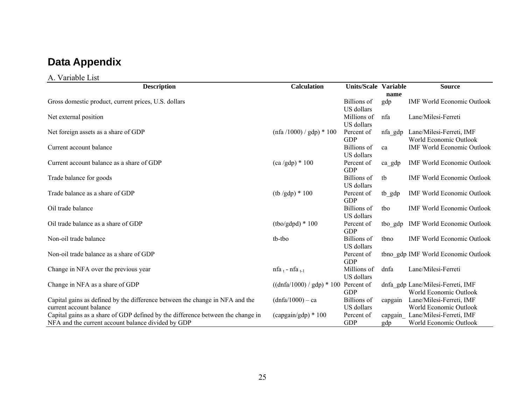# **Data Appendix**

#### A. Variable List

| <b>Description</b>                                                              | <b>Calculation</b>                    | <b>Units/Scale Variable</b> |          | <b>Source</b>                       |
|---------------------------------------------------------------------------------|---------------------------------------|-----------------------------|----------|-------------------------------------|
|                                                                                 |                                       |                             | name     |                                     |
| Gross domestic product, current prices, U.S. dollars                            |                                       | Billions of                 | gdp      | <b>IMF World Economic Outlook</b>   |
|                                                                                 |                                       | US dollars                  |          |                                     |
| Net external position                                                           |                                       | Millions of                 | nfa      | Lane/Milesi-Ferreti                 |
|                                                                                 |                                       | US dollars                  |          |                                     |
| Net foreign assets as a share of GDP                                            | $(nfa / 1000) / gdp$ * 100            | Percent of                  | nfa_gdp  | Lane/Milesi-Ferreti, IMF            |
|                                                                                 |                                       | <b>GDP</b>                  |          | World Economic Outlook              |
| Current account balance                                                         |                                       | <b>Billions</b> of          | ca       | <b>IMF World Economic Outlook</b>   |
|                                                                                 |                                       | US dollars                  |          |                                     |
| Current account balance as a share of GDP                                       | $(ca/gdp) * 100$                      | Percent of                  | $ca$ gdp | <b>IMF World Economic Outlook</b>   |
|                                                                                 |                                       | <b>GDP</b>                  |          |                                     |
| Trade balance for goods                                                         |                                       | <b>Billions</b> of          | tb       | <b>IMF World Economic Outlook</b>   |
|                                                                                 |                                       | US dollars                  |          |                                     |
| Trade balance as a share of GDP                                                 | $(tb/gdp) * 100$                      | Percent of                  | tb_gdp   | <b>IMF World Economic Outlook</b>   |
|                                                                                 |                                       | <b>GDP</b>                  |          |                                     |
| Oil trade balance                                                               |                                       | <b>Billions</b> of          | tbo      | <b>IMF World Economic Outlook</b>   |
|                                                                                 |                                       | US dollars                  |          |                                     |
| Oil trade balance as a share of GDP                                             | $(tbo/gdpd) * 100$                    | Percent of                  | tbo_gdp  | <b>IMF World Economic Outlook</b>   |
|                                                                                 |                                       | <b>GDP</b>                  |          |                                     |
| Non-oil trade balance                                                           | tb-tbo                                | <b>Billions</b> of          | tbno     | <b>IMF World Economic Outlook</b>   |
|                                                                                 |                                       | US dollars                  |          |                                     |
| Non-oil trade balance as a share of GDP                                         |                                       | Percent of                  |          | tbno_gdp IMF World Economic Outlook |
|                                                                                 |                                       | <b>GDP</b>                  |          |                                     |
| Change in NFA over the previous year                                            | nfa <sub>t</sub> - nfa <sub>t-1</sub> | Millions of                 | dnfa     | Lane/Milesi-Ferreti                 |
|                                                                                 |                                       | US dollars                  |          |                                     |
| Change in NFA as a share of GDP                                                 | $((dnfa/1000) / gdp) * 100$           | Percent of                  |          | dnfa gdp Lane/Milesi-Ferreti, IMF   |
|                                                                                 |                                       | <b>GDP</b>                  |          | World Economic Outlook              |
| Capital gains as defined by the difference between the change in NFA and the    | $(dnfa/1000) - ca$                    | <b>Billions</b> of          | capgain  | Lane/Milesi-Ferreti, IMF            |
| current account balance                                                         |                                       | US dollars                  |          | World Economic Outlook              |
| Capital gains as a share of GDP defined by the difference between the change in | $(capgain/gdp) * 100$                 | Percent of                  | capgain  | Lane/Milesi-Ferreti, IMF            |
| NFA and the current account balance divided by GDP                              |                                       | <b>GDP</b>                  | gdp      | World Economic Outlook              |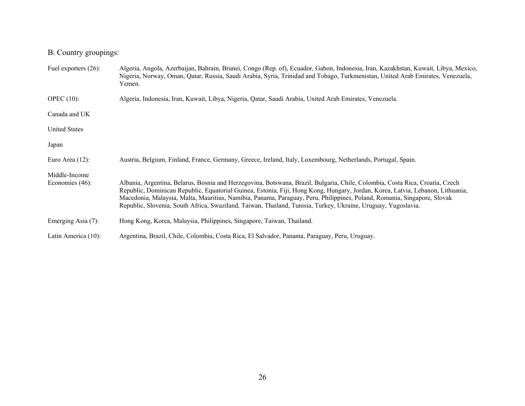# B. Country groupings:

| Fuel exporters $(26)$ :             | Algeria, Angola, Azerbaijan, Bahrain, Brunei, Congo (Rep. of), Ecuador, Gabon, Indonesia, Iran, Kazakhstan, Kuwait, Libya, Mexico,<br>Nigeria, Norway, Oman, Qatar, Russia, Saudi Arabia, Syria, Trinidad and Tobago, Turkmenistan, United Arab Emirates, Venezuela,<br>Yemen.                                                                                                                                                                                                                             |
|-------------------------------------|------------------------------------------------------------------------------------------------------------------------------------------------------------------------------------------------------------------------------------------------------------------------------------------------------------------------------------------------------------------------------------------------------------------------------------------------------------------------------------------------------------|
| OPEC $(10)$ :                       | Algeria, Indonesia, Iran, Kuwait, Libya, Nigeria, Qatar, Saudi Arabia, United Arab Emirates, Venezuela.                                                                                                                                                                                                                                                                                                                                                                                                    |
| Canada and UK                       |                                                                                                                                                                                                                                                                                                                                                                                                                                                                                                            |
| <b>United States</b>                |                                                                                                                                                                                                                                                                                                                                                                                                                                                                                                            |
| Japan                               |                                                                                                                                                                                                                                                                                                                                                                                                                                                                                                            |
| Euro Area $(12)$ :                  | Austria, Belgium, Finland, France, Germany, Greece, Ireland, Italy, Luxembourg, Netherlands, Portugal, Spain.                                                                                                                                                                                                                                                                                                                                                                                              |
| Middle-Income<br>Economies $(46)$ : | Albania, Argentina, Belarus, Bosnia and Herzegovina, Botswana, Brazil, Bulgaria, Chile, Colombia, Costa Rica, Croatia, Czech<br>Republic, Dominican Republic, Equatorial Guinea, Estonia, Fiji, Hong Kong, Hungary, Jordan, Korea, Latvia, Lebanon, Lithuania,<br>Macedonia, Malaysia, Malta, Mauritius, Namibia, Panama, Paraguay, Peru, Philippines, Poland, Romania, Singapore, Slovak<br>Republic, Slovenia, South Africa, Swaziland, Taiwan, Thailand, Tunisia, Turkey, Ukraine, Uruguay, Yugoslavia. |
| Emerging Asia $(7)$ :               | Hong Kong, Korea, Malaysia, Philippines, Singapore, Taiwan, Thailand.                                                                                                                                                                                                                                                                                                                                                                                                                                      |
| Latin America (10):                 | Argentina, Brazil, Chile, Colombia, Costa Rica, El Salvador, Panama, Paraguay, Peru, Uruguay.                                                                                                                                                                                                                                                                                                                                                                                                              |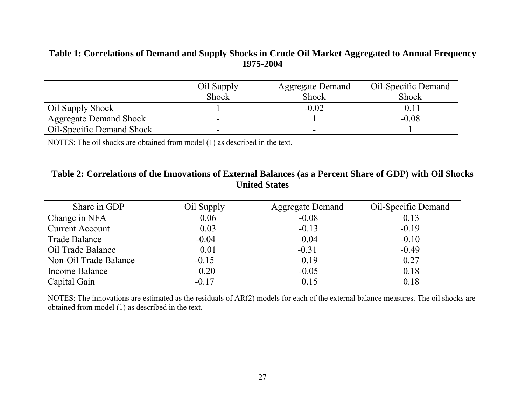### **Table 1: Correlations of Demand and Supply Shocks in Crude Oil Market Aggregated to Annual Frequency 1975-2004**

|                                  | Oil Supply<br><b>Shock</b> | <b>Aggregate Demand</b><br><b>Shock</b> | Oil-Specific Demand<br><b>Shock</b> |
|----------------------------------|----------------------------|-----------------------------------------|-------------------------------------|
| Oil Supply Shock                 |                            | $-0.02$                                 | $0.1\,$                             |
| <b>Aggregate Demand Shock</b>    | -                          |                                         | $-0.08$                             |
| <b>Oil-Specific Demand Shock</b> | -                          |                                         |                                     |

NOTES: The oil shocks are obtained from model (1) as described in the text.

### **Table 2: Correlations of the Innovations of External Balances (as a Percent Share of GDP) with Oil Shocks United States**

| Share in GDP           | Oil Supply | <b>Aggregate Demand</b> | Oil-Specific Demand |
|------------------------|------------|-------------------------|---------------------|
| Change in NFA          | 0.06       | $-0.08$                 | 0.13                |
| <b>Current Account</b> | 0.03       | $-0.13$                 | $-0.19$             |
| <b>Trade Balance</b>   | $-0.04$    | 0.04                    | $-0.10$             |
| Oil Trade Balance      | 0.01       | $-0.31$                 | $-0.49$             |
| Non-Oil Trade Balance  | $-0.15$    | 0.19                    | 0.27                |
| Income Balance         | 0.20       | $-0.05$                 | 0.18                |
| Capital Gain           | $-0.17$    | 0.15                    | 0.18                |

NOTES: The innovations are estimated as the residuals of AR(2) models for each of the external balance measures. The oil shocks are obtained from model (1) as described in the text.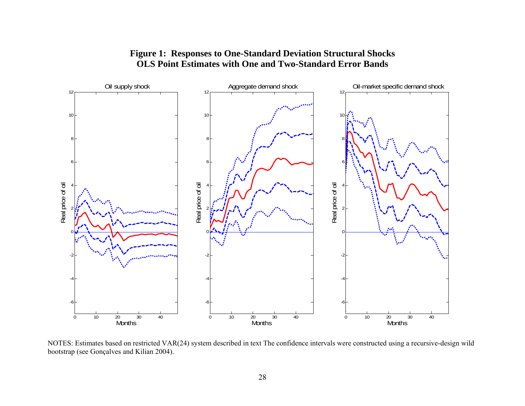

### **Figure 1: Responses to One-Standard Deviation Structural Shocks OLS Point Estimates with One and Two-Standard Error Bands**

NOTES: Estimates based on restricted VAR(24) system described in text The confidence intervals were constructed using a recursive-design wild bootstrap (see Gonçalves and Kilian 2004).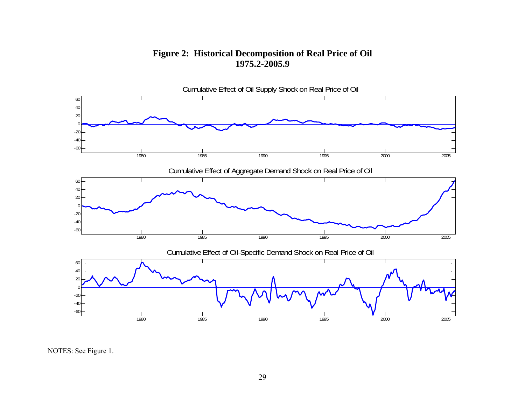### **Figure 2: Historical Decomposition of Real Price of Oil 1975.2-2005.9**



NOTES: See Figure 1.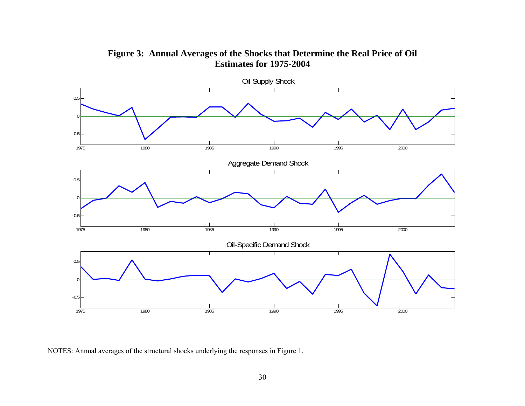

**Figure 3: Annual Averages of the Shocks that Determine the Real Price of Oil Estimates for 1975-2004** 

NOTES: Annual averages of the structural shocks underlying the responses in Figure 1.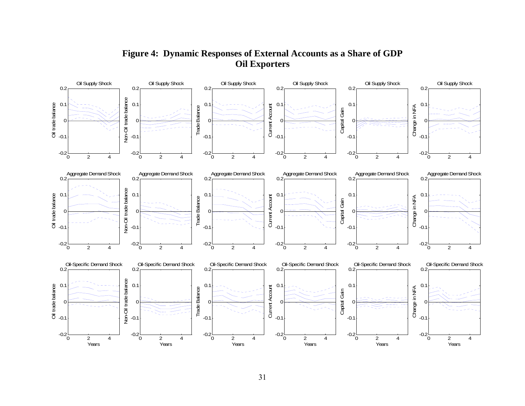

# **Figure 4: Dynamic Responses of External Accounts as a Share of GDP Oil Exporters**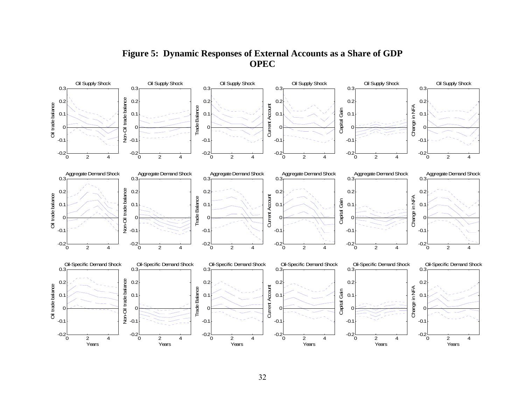**Figure 5: Dynamic Responses of External Accounts as a Share of GDP OPEC** 

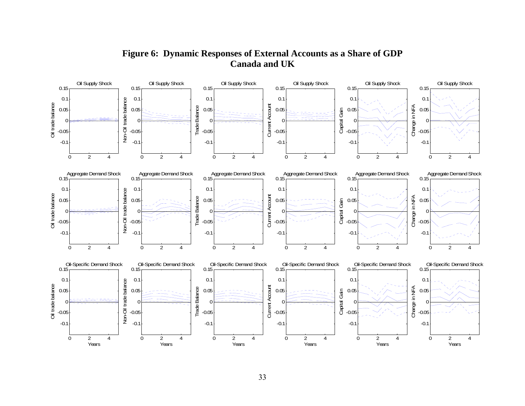

# **Figure 6: Dynamic Responses of External Accounts as a Share of GDP Canada and UK**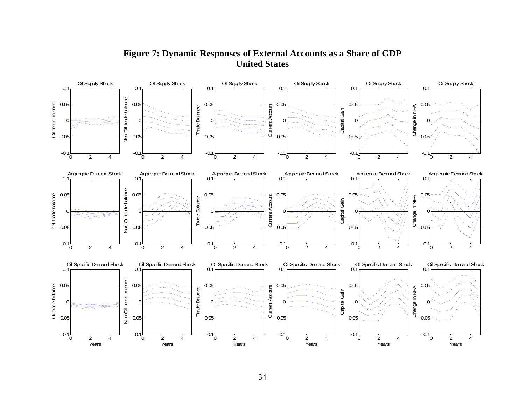

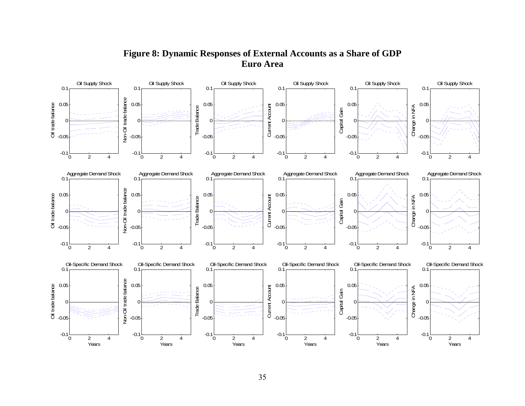### **Figure 8: Dynamic Responses of External Accounts as a Share of GDP Euro Area**

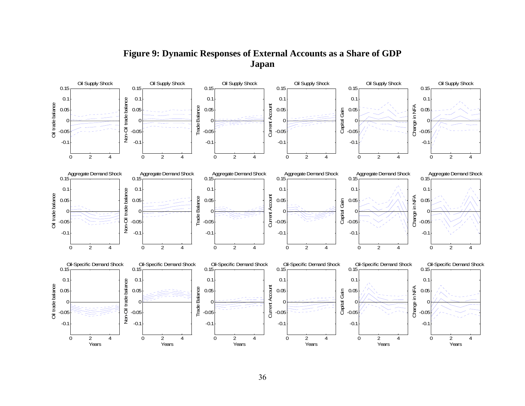**Figure 9: Dynamic Responses of External Accounts as a Share of GDP Japan** 

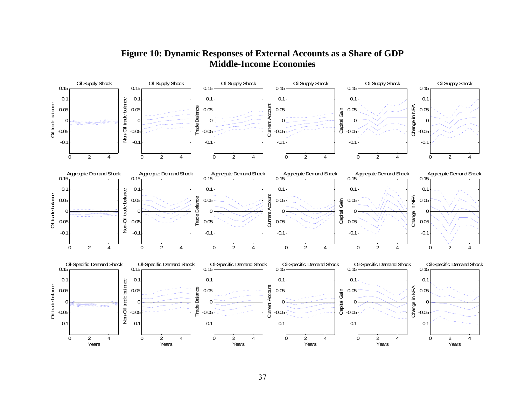

# **Figure 10: Dynamic Responses of External Accounts as a Share of GDP Middle-Income Economies**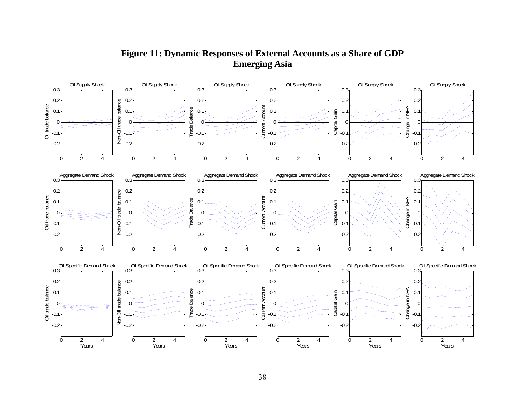# **Figure 11: Dynamic Responses of External Accounts as a Share of GDP Emerging Asia**

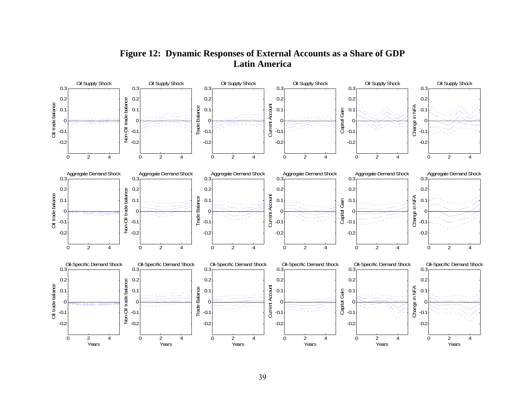

# **Figure 12: Dynamic Responses of External Accounts as a Share of GDP Latin America**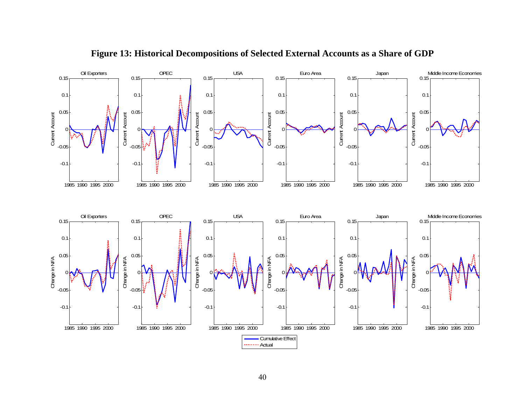

**Figure 13: Historical Decompositions of Selected External Accounts as a Share of GDP**